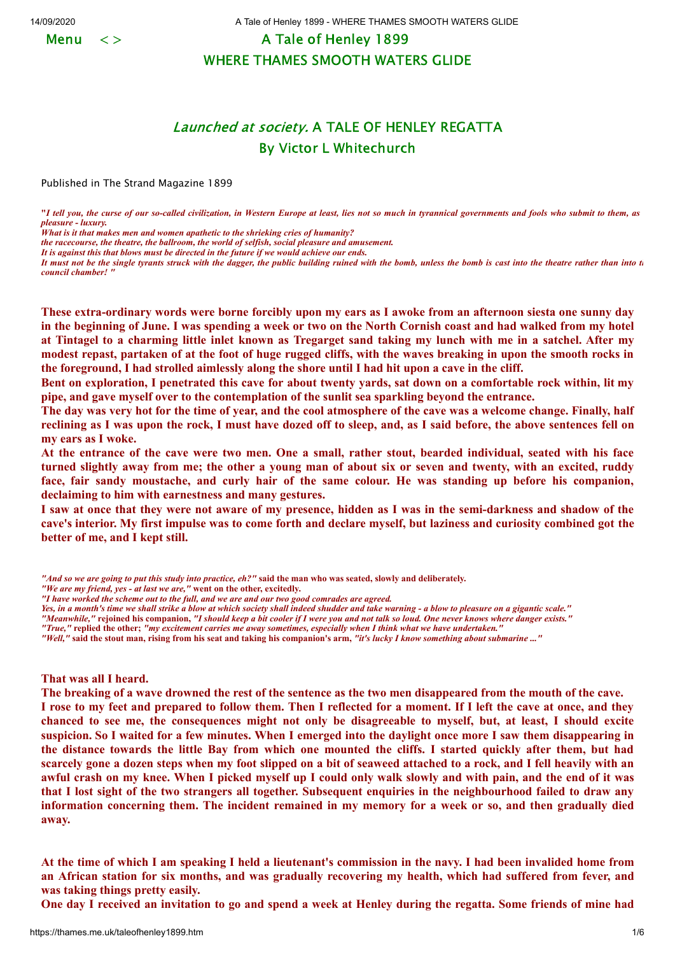Menu  $\langle \rangle$ 

14/09/2020 A Tale of Henley 1899 - WHERE THAMES SMOOTH WATERS GLIDE

A Tale of Henley 1899 WHERE THAMES SMOOTH WATERS GLIDE

## Launched at society. A TALE OF HENLEY REGATTA By Victor L Whitechurch

Published in The Strand Magazine 1899

**"***I tell you, the curse of our so-called civilization, in Western Europe at least, lies not so much in tyrannical governments and fools who submit to them, as pleasure - luxury.*

*What is it that makes men and women apathetic to the shrieking cries of humanity?*

*the racecourse, the theatre, the ballroom, the world of selfish, social pleasure and amusement.*

*It is against this that blows must be directed in the future if we would achieve our ends.*

*It must not be the single tyrants struck with the dagger, the public building ruined with the bomb, unless the bomb is cast into the theatre rather than into th council chamber! "*

These extra-ordinary words were borne forcibly upon my ears as I awoke from an afternoon siesta one sunny day in the beginning of June. I was spending a week or two on the North Cornish coast and had walked from my hotel at Tintagel to a charming little inlet known as Tregarget sand taking my lunch with me in a satchel. After my modest repast, partaken of at the foot of huge rugged cliffs, with the waves breaking in upon the smooth rocks in the foreground, I had strolled aimlessly along the shore until I had hit upon a cave in the cliff.

Bent on exploration, I penetrated this cave for about twenty vards, sat down on a comfortable rock within, lit my **pipe, and gave myself over to the contemplation of the sunlit sea sparkling beyond the entrance.**

The day was very hot for the time of year, and the cool atmosphere of the cave was a welcome change. Finally, half reclining as I was upon the rock, I must have dozed off to sleep, and, as I said before, the above sentences fell on **my ears as I woke.**

At the entrance of the cave were two men. One a small, rather stout, bearded individual, seated with his face turned slightly away from me; the other a young man of about six or seven and twenty, with an excited, ruddy face, fair sandy moustache, and curly hair of the same colour. He was standing up before his companion, **declaiming to him with earnestness and many gestures.**

I saw at once that they were not aware of my presence, hidden as I was in the semi-darkness and shadow of the cave's interior. My first impulse was to come forth and declare myself, but laziness and curiosity combined got the **better of me, and I kept still.**

- *"And so we are going to put this study into practice, eh?"* **said the man who was seated, slowly and deliberately.**
- *"We are my friend, yes at last we are,"* **went on the other, excitedly.**

*Yes, in a month's time we shall strike a blow at which society shall indeed shudder and take warning - a blow to pleasure on a gigantic scale."*

*"Meanwhile,"* **rejoined his companion,** *"I should keep a bit cooler if I were you and not talk so loud. One never knows where danger exists."*

*"True,"* **replied the other;** *"my excitement carries me away sometimes, especially when I think what we have undertaken."*

*"Well,"* **said the stout man, rising from his seat and taking his companion's arm,** *"it's lucky I know something about submarine ..."*

**That was all I heard.**

The breaking of a wave drowned the rest of the sentence as the two men disappeared from the mouth of the cave. I rose to my feet and prepared to follow them. Then I reflected for a moment. If I left the cave at once, and they chanced to see me, the consequences might not only be disagreeable to myself, but, at least, I should excite suspicion. So I waited for a few minutes. When I emerged into the daylight once more I saw them disappearing in the distance towards the little Bay from which one mounted the cliffs. I started quickly after them, but had scarcely gone a dozen steps when my foot slipped on a bit of seaweed attached to a rock, and I fell heavily with an awful crash on my knee. When I picked myself up I could only walk slowly and with pain, and the end of it was that I lost sight of the two strangers all together. Subsequent enquiries in the neighbourhood failed to draw any information concerning them. The incident remained in my memory for a week or so, and then gradually died **away.**

At the time of which I am speaking I held a lieutenant's commission in the navy. I had been invalided home from an African station for six months, and was gradually recovering my health, which had suffered from fever, and **was taking things pretty easily.**

One day I received an invitation to go and spend a week at Henley during the regatta. Some friends of mine had

*<sup>&</sup>quot;I have worked the scheme out to the full, and we are and our two good comrades are agreed.*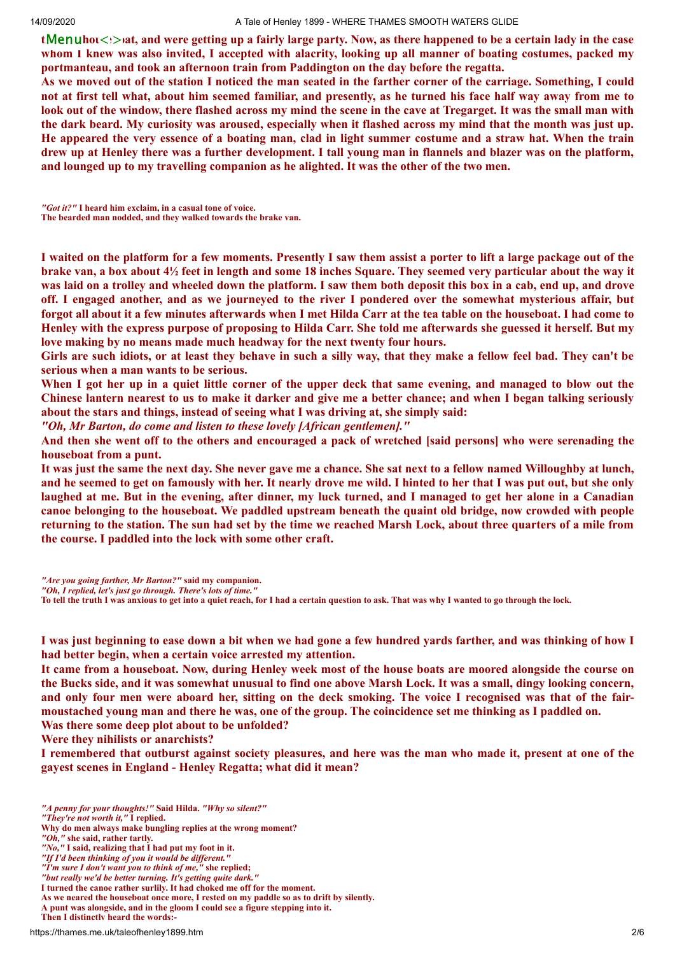14/09/2020 A Tale of Henley 1899 - WHERE THAMES SMOOTH WATERS GLIDE

tMenuhot<b>at, and were getting up a fairly large party. Now, as there happened to be a certain lady in the case whom I knew was also invited, I accepted with alacrity, looking up all manner of boating costumes, packed my **portmanteau, and took an afternoon train from Paddington on the day before the regatta.**

As we moved out of the station I noticed the man seated in the farther corner of the carriage. Something, I could not at first tell what, about him seemed familiar, and presently, as he turned his face half way away from me to look out of the window, there flashed across my mind the scene in the cave at Tregarget. It was the small man with the dark beard. My curiosity was aroused, especially when it flashed across my mind that the month was just up. He appeared the very essence of a boating man, clad in light summer costume and a straw hat. When the train drew up at Henley there was a further development. I tall young man in flannels and blazer was on the platform, **and lounged up to my travelling companion as he alighted. It was the other of the two men.**

*"Got it?"* **I heard him exclaim, in a casual tone of voice. The bearded man nodded, and they walked towards the brake van.**

I waited on the platform for a few moments. Presently I saw them assist a porter to lift a large package out of the brake van, a box about  $4\frac{1}{2}$  feet in length and some 18 inches Square. They seemed very particular about the way it was laid on a trolley and wheeled down the platform. I saw them both deposit this box in a cab, end up, and drove off. I engaged another, and as we journeyed to the river I pondered over the somewhat mysterious affair, but forgot all about it a few minutes afterwards when I met Hilda Carr at the tea table on the houseboat. I had come to Henley with the express purpose of proposing to Hilda Carr. She told me afterwards she guessed it herself. But my **love making by no means made much headway for the next twenty four hours.**

Girls are such idiots, or at least they behave in such a silly way, that they make a fellow feel bad. They can't be **serious when a man wants to be serious.**

When I got her up in a quiet little corner of the upper deck that same evening, and managed to blow out the Chinese lantern nearest to us to make it darker and give me a better chance; and when I began talking seriously **about the stars and things, instead of seeing what I was driving at, she simply said:**

*"Oh, Mr Barton, do come and listen to these lovely [African gentlemen]."*

And then she went off to the others and encouraged a pack of wretched [said persons] who were serenading the **houseboat from a punt.**

It was just the same the next day. She never gave me a chance. She sat next to a fellow named Willoughby at lunch, and he seemed to get on famously with her. It nearly drove me wild. I hinted to her that I was put out, but she only laughed at me. But in the evening, after dinner, my luck turned, and I managed to get her alone in a Canadian canoe belonging to the houseboat. We paddled upstream beneath the quaint old bridge, now crowded with people returning to the station. The sun had set by the time we reached Marsh Lock, about three quarters of a mile from **the course. I paddled into the lock with some other craft.**

*"Are you going farther, Mr Barton?"* **said my companion.**

**To tell the truth I was anxious to get into a quiet reach, for I had a certain question to ask. That was why I wanted to go through the lock.**

I was just beginning to ease down a bit when we had gone a few hundred yards farther, and was thinking of how I **had better begin, when a certain voice arrested my attention.**

It came from a houseboat. Now, during Henley week most of the house boats are moored alongside the course on the Bucks side, and it was somewhat unusual to find one above Marsh Lock. It was a small, dingy looking concern, and only four men were aboard her, sitting on the deck smoking. The voice I recognised was that of the fairmoustached young man and there he was, one of the group. The coincidence set me thinking as I paddled on. **Was there some deep plot about to be unfolded?**

**Were they nihilists or anarchists?**

I remembered that outburst against society pleasures, and here was the man who made it, present at one of the **gayest scenes in England - Henley Regatta; what did it mean?**

*<sup>&</sup>quot;Oh, I replied, let's just go through. There's lots of time."*

*<sup>&</sup>quot;A penny for your thoughts!"* **Said Hilda.** *"Why so silent?"*

*<sup>&</sup>quot;They're not worth it,"* **I replied.**

**Why do men always make bungling replies at the wrong moment?**

*<sup>&</sup>quot;Oh,"* **she said, rather tartly.**

*<sup>&</sup>quot;No,"* **I said, realizing that I had put my foot in it.**

*<sup>&</sup>quot;If I'd been thinking of you it would be different."*

*<sup>&</sup>quot;I'm sure I don't want you to think of me,"* **she replied;**

*<sup>&</sup>quot;but really we'd be better turning. It's getting quite dark."*

**I turned the canoe rather surlily. It had choked me off for the moment.**

**As we neared the houseboat once more, I rested on my paddle so as to drift by silently.**

**A punt was alongside, and in the gloom I could see a figure stepping into it. Then I distinctly heard the words:-**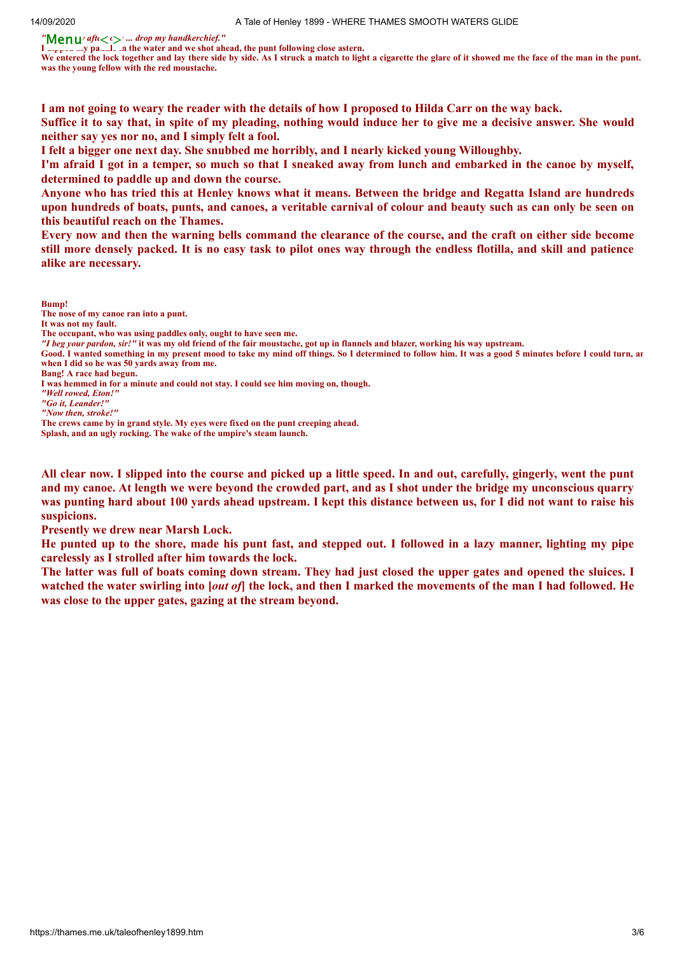*"Menuvafu* $\langle \cdot \rangle$  ... *drop my handkerchief."* 

**I'Menu**<sup>n</sup> aft  $\langle t \rangle$  ... drop my handkerchief."<br>I suppose suy passed, in the water and we shot ahead, the punt following close astern.

We entered the lock together and lay there side by side. As I struck a match to light a cigarette the glare of it showed me the face of the man in the punt. **was the young fellow with the red moustache.**

I am not going to weary the reader with the details of how I proposed to Hilda Carr on the way back.

Suffice it to say that, in spite of my pleading, nothing would induce her to give me a decisive answer. She would **neither say yes nor no, and I simply felt a fool.**

**I felt a bigger one next day. She snubbed me horribly, and I nearly kicked young Willoughby.**

I'm afraid I got in a temper, so much so that I sneaked away from lunch and embarked in the canoe by myself, **determined to paddle up and down the course.**

Anyone who has tried this at Henley knows what it means. Between the bridge and Regatta Island are hundreds upon hundreds of boats, punts, and canoes, a veritable carnival of colour and beauty such as can only be seen on **this beautiful reach on the Thames.**

Every now and then the warning bells command the clearance of the course, and the craft on either side become still more densely packed. It is no easy task to pilot ones way through the endless flotilla, and skill and patience **alike are necessary.**

**Bump!** 

**It was not my fault.**

*"I beg your pardon, sir!"* **it was my old friend of the fair moustache, got up in flannels and blazer, working his way upstream.**

**Good. I wanted something in my present mood to take my mind off things. So I determined to follow him. It was a good 5 minutes before I could turn, an when I did so he was 50 yards away from me.**

- **Bang! A race had begun.**
- **I was hemmed in for a minute and could not stay. I could see him moving on, though.**
- *"Well rowed, Eton!"*

**Splash, and an ugly rocking. The wake of the umpire's steam launch.**

All clear now. I slipped into the course and picked up a little speed. In and out, carefully, gingerly, went the punt and my canoe. At length we were beyond the crowded part, and as I shot under the bridge my unconscious quarry was punting hard about 100 yards ahead upstream. I kept this distance between us, for I did not want to raise his **suspicions.**

**Presently we drew near Marsh Lock.**

He punted up to the shore, made his punt fast, and stepped out. I followed in a lazy manner, lighting my pipe **carelessly as I strolled after him towards the lock.**

The latter was full of boats coming down stream. They had just closed the upper gates and opened the sluices. I watched the water swirling into [*out of*] the lock, and then I marked the movements of the man I had followed. He **was close to the upper gates, gazing at the stream beyond.**

**The nose of my canoe ran into a punt.** 

**The occupant, who was using paddles only, ought to have seen me.**

*<sup>&</sup>quot;Go it, Leander!"*

*<sup>&</sup>quot;Now then, stroke!"*

**The crews came by in grand style. My eyes were fixed on the punt creeping ahead.**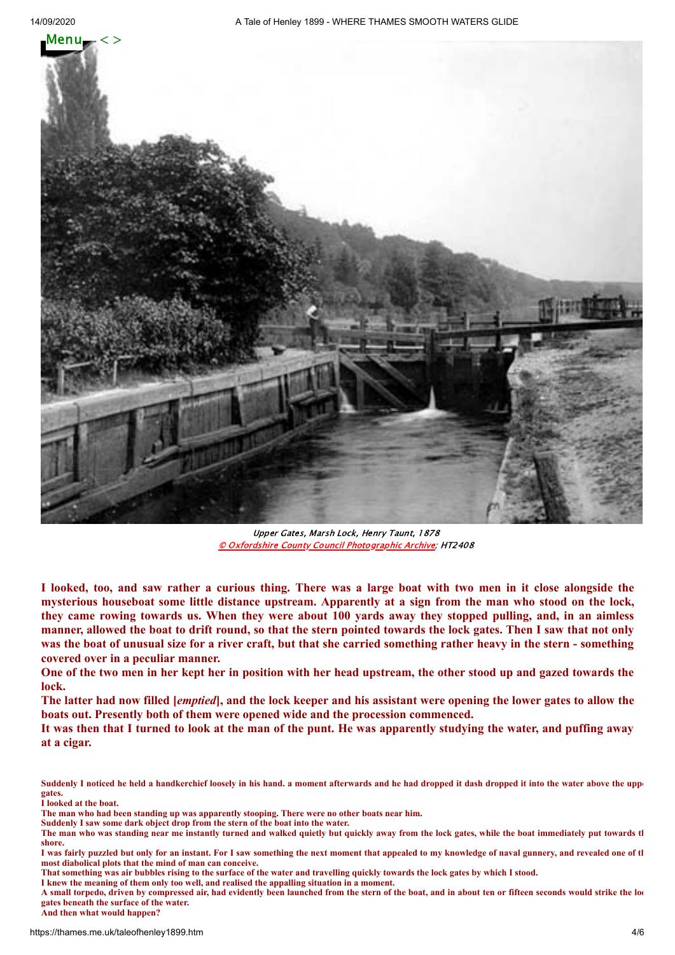

Upper Gates, Marsh Lock, Henry Taunt, 1878 © Oxfordshire County Council [Photographic](http://www.oxfordshire.gov.uk/wps/portal/publicsite/doitonline/finditonline/heritage) Archive; HT2408

I looked, too, and saw rather a curious thing. There was a large boat with two men in it close alongside the mysterious houseboat some little distance upstream. Apparently at a sign from the man who stood on the lock, they came rowing towards us. When they were about 100 yards away they stopped pulling, and, in an aimless manner, allowed the boat to drift round, so that the stern pointed towards the lock gates. Then I saw that not only was the boat of unusual size for a river craft, but that she carried something rather heavy in the stern - something **covered over in a peculiar manner.**

One of the two men in her kept her in position with her head upstream, the other stood up and gazed towards the **lock.**

The latter had now filled [*emptied*], and the lock keeper and his assistant were opening the lower gates to allow the **boats out. Presently both of them were opened wide and the procession commenced.**

It was then that I turned to look at the man of the punt. He was apparently studying the water, and puffing away **at a cigar.**

- **The man who had been standing up was apparently stooping. There were no other boats near him.**
- **Suddenly I saw some dark object drop from the stern of the boat into the water.**

Suddenly I noticed he held a handkerchief loosely in his hand. a moment afterwards and he had dropped it dash dropped it into the water above the uppe **gates.**

**I looked at the boat.**

**The man who was standing near me instantly turned and walked quietly but quickly away from the lock gates, while the boat immediately put towards th shore.**

**I was fairly puzzled but only for an instant. For I saw something the next moment that appealed to my knowledge of naval gunnery, and revealed one of th most diabolical plots that the mind of man can conceive.**

**That something was air bubbles rising to the surface of the water and travelling quickly towards the lock gates by which I stood.**

**I knew the meaning of them only too well, and realised the appalling situation in a moment.**

**A small torpedo, driven by compressed air, had evidently been launched from the stern of the boat, and in about ten or fifteen seconds would strike the loc gates beneath the surface of the water.**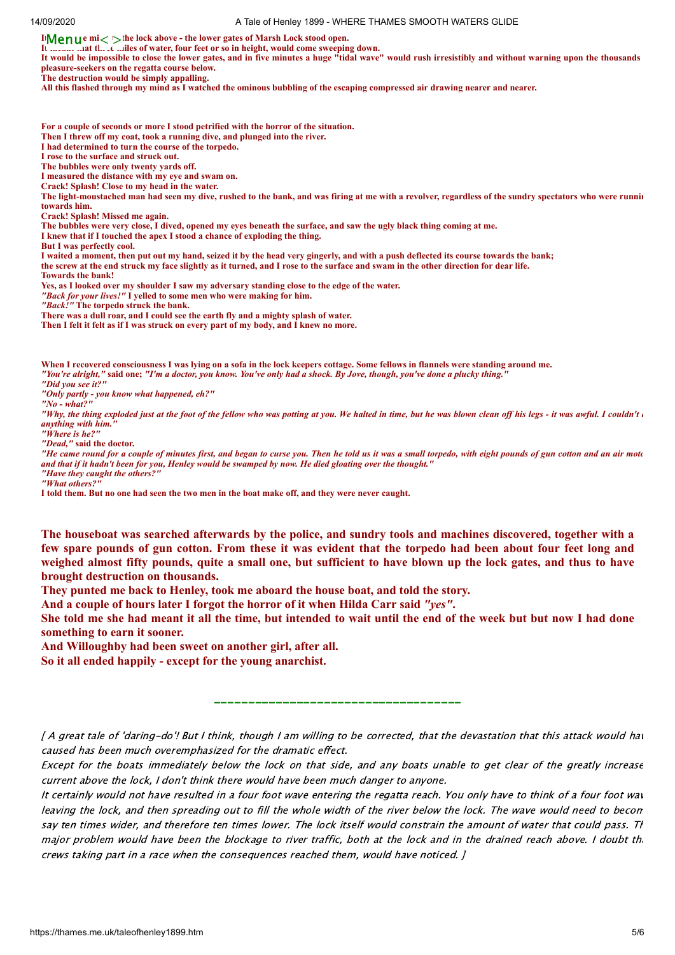**If Wenus miles to the lock above - the lower gates of Marsh Lock stood open.** 

**It meant that the extent of water, four feet or so in height, would come sweeping down.** 

**It would be impossible to close the lower gates, and in five minutes a huge "tidal wave" would rush irresistibly and without warning upon the thousands pleasure-seekers on the regatta course below.**

**The destruction would be simply appalling.**

**All this flashed through my mind as I watched the ominous bubbling of the escaping compressed air drawing nearer and nearer.**

**For a couple of seconds or more I stood petrified with the horror of the situation.**

**Then I threw off my coat, took a running dive, and plunged into the river.**

**I had determined to turn the course of the torpedo.**

**I rose to the surface and struck out.**

**The bubbles were only twenty yards off.**

**I measured the distance with my eye and swam on.**

**Crack! Splash! Close to my head in the water.**

**The light-moustached man had seen my dive, rushed to the bank, and was firing at me with a revolver, regardless of the sundry spectators who were runnin towards him.**

**Crack! Splash! Missed me again.**

**The bubbles were very close, I dived, opened my eyes beneath the surface, and saw the ugly black thing coming at me.**

**I knew that if I touched the apex I stood a chance of exploding the thing.**

**But I was perfectly cool.**

**I waited a moment, then put out my hand, seized it by the head very gingerly, and with a push deflected its course towards the bank;**

**the screw at the end struck my face slightly as it turned, and I rose to the surface and swam in the other direction for dear life.**

**Towards the bank!**

**Yes, as I looked over my shoulder I saw my adversary standing close to the edge of the water.**

*"Back for your lives!"* **I yelled to some men who were making for him.**

*"Back!"* **The torpedo struck the bank.**

**There was a dull roar, and I could see the earth fly and a mighty splash of water.**

**Then I felt it felt as if I was struck on every part of my body, and I knew no more.**

**When I recovered consciousness I was lying on a sofa in the lock keepers cottage. Some fellows in flannels were standing around me.** *"You're alright,"* **said one;** *"I'm a doctor, you know. You've only had a shock. By Jove, though, you've done a plucky thing."*

*"Did you see it?"*

*"Only partly - you know what happened, eh?"*

*"No - what?"*

"Why, the thing exploded just at the foot of the fellow who was potting at you. We halted in time, but he was blown clean off his legs - it was awful. I couldn't *anything with him."*

*"Where is he?"*

*"Dead,"* **said the doctor.**

*"He came round for a couple of minutes first, and began to curse you. Then he told us it was a small torpedo, with eight pounds of gun cotton and an air moto and that if it hadn't been for you, Henley would be swamped by now. He died gloating over the thought." "Have they caught the others?"*

*"What others?"*

**I told them. But no one had seen the two men in the boat make off, and they were never caught.**

The houseboat was searched afterwards by the police, and sundry tools and machines discovered, together with a few spare pounds of gun cotton. From these it was evident that the torpedo had been about four feet long and weighed almost fifty pounds, quite a small one, but sufficient to have blown up the lock gates, and thus to have **brought destruction on thousands.**

**They punted me back to Henley, took me aboard the house boat, and told the story.**

**And a couple of hours later I forgot the horror of it when Hilda Carr said** *"yes"***.**

She told me she had meant it all the time, but intended to wait until the end of the week but but now I had done **something to earn it sooner.**

**And Willoughby had been sweet on another girl, after all.**

**So it all ended happily - except for the young anarchist.**

[ A great tale of 'daring-do'! But I think, though I am willing to be corrected, that the devastation that this attack would hav caused has been much overemphasized for the dramatic effect.

\_\_\_\_\_\_\_\_\_\_\_\_\_\_\_\_\_\_\_\_\_\_\_\_\_\_\_\_\_\_\_\_\_\_\_\_

Except for the boats immediately below the lock on that side, and any boats unable to get clear of the greatly increase current above the lock, I don't think there would have been much danger to anyone.

It certainly would not have resulted in a four foot wave entering the regatta reach. You only have to think of a four foot wav leaving the lock, and then spreading out to fill the whole width of the river below the lock. The wave would need to becom say ten times wider, and therefore ten times lower. The lock itself would constrain the amount of water that could pass. Th major problem would have been the blockage to river traffic, both at the lock and in the drained reach above. I doubt th crews taking part in a race when the consequences reached them, would have noticed. ]